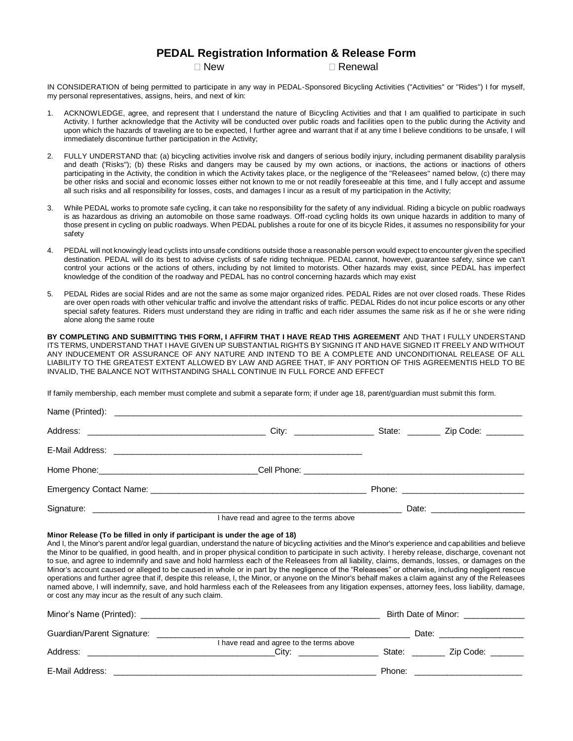## **PEDAL Registration Information & Release Form**

 $\Box$  New  $\Box$  Renewal

IN CONSIDERATION of being permitted to participate in any way in PEDAL-Sponsored Bicycling Activities ("Activities" or "Rides") I for myself, my personal representatives, assigns, heirs, and next of kin:

- 1. ACKNOWLEDGE, agree, and represent that I understand the nature of Bicycling Activities and that I am qualified to participate in such Activity. I further acknowledge that the Activity will be conducted over public roads and facilities open to the public during the Activity and upon which the hazards of traveling are to be expected, I further agree and warrant that if at any time I believe conditions to be unsafe, I will immediately discontinue further participation in the Activity;
- 2. FULLY UNDERSTAND that: (a) bicycling activities involve risk and dangers of serious bodily injury, including permanent disability paralysis and death ('Risks"); (b) these Risks and dangers may be caused by my own actions, or inactions, the actions or inactions of others participating in the Activity, the condition in which the Activity takes place, or the negligence of the "Releasees" named below, (c) there may be other risks and social and economic losses either not known to me or not readily foreseeable at this time, and I fully accept and assume all such risks and all responsibility for losses, costs, and damages I incur as a result of my participation in the Activity;
- 3. While PEDAL works to promote safe cycling, it can take no responsibility for the safety of any individual. Riding a bicycle on public roadways is as hazardous as driving an automobile on those same roadways. Off-road cycling holds its own unique hazards in addition to many of those present in cycling on public roadways. When PEDAL publishes a route for one of its bicycle Rides, it assumes no responsibility for your safety
- 4. PEDAL will not knowingly lead cyclists into unsafe conditions outside those a reasonable person would expect to encounter given the specified destination. PEDAL will do its best to advise cyclists of safe riding technique. PEDAL cannot, however, guarantee safety, since we can't control your actions or the actions of others, including by not limited to motorists. Other hazards may exist, since PEDAL has imperfect knowledge of the condition of the roadway and PEDAL has no control concerning hazards which may exist
- 5. PEDAL Rides are social Rides and are not the same as some major organized rides. PEDAL Rides are not over closed roads. These Rides are over open roads with other vehicular traffic and involve the attendant risks of traffic. PEDAL Rides do not incur police escorts or any other special safety features. Riders must understand they are riding in traffic and each rider assumes the same risk as if he or she were riding alone along the same route

**BY COMPLETING AND SUBMITTING THIS FORM, I AFFIRM THAT I HAVE READ THIS AGREEMENT** AND THAT I FULLY UNDERSTAND ITS TERMS, UNDERSTAND THAT I HAVE GIVEN UP SUBSTANTIAL RIGHTS BY SIGNING IT AND HAVE SIGNED IT FREELY AND WITHOUT ANY INDUCEMENT OR ASSURANCE OF ANY NATURE AND INTEND TO BE A COMPLETE AND UNCONDITIONAL RELEASE OF ALL LIABILITY TO THE GREATEST EXTENT ALLOWED BY LAW AND AGREE THAT, IF ANY PORTION OF THIS AGREEMENTIS HELD TO BE INVALID, THE BALANCE NOT WITHSTANDING SHALL CONTINUE IN FULL FORCE AND EFFECT

If family membership, each member must complete and submit a separate form; if under age 18, parent/guardian must submit this form.

|                                          |  | Date: _________________________ |  |
|------------------------------------------|--|---------------------------------|--|
| I have read and agree to the terms above |  |                                 |  |

## **Minor Release (To be filled in only if participant is under the age of 18)**

And I, the Minor's parent and/or legal guardian, understand the nature of bicycling activities and the Minor's experience and capabilities and believe the Minor to be qualified, in good health, and in proper physical condition to participate in such activity. I hereby release, discharge, covenant not to sue, and agree to indemnify and save and hold harmless each of the Releasees from all liability, claims, demands, losses, or damages on the Minor's account caused or alleged to be caused in whole or in part by the negligence of the "Releasees" or otherwise, including negligent rescue operations and further agree that if, despite this release, I, the Minor, or anyone on the Minor's behalf makes a claim against any of the Releasees named above, I will indemnify, save, and hold harmless each of the Releasees from any litigation expenses, attorney fees, loss liability, damage, or cost any may incur as the result of any such claim.

|                            | Birth Date of Minor:                              |        |           |  |
|----------------------------|---------------------------------------------------|--------|-----------|--|
| Guardian/Parent Signature: |                                                   | Date:  |           |  |
| Address:                   | I have read and agree to the terms above<br>Citv: | State: | Zip Code: |  |
| E-Mail Address:            |                                                   | Phone: |           |  |